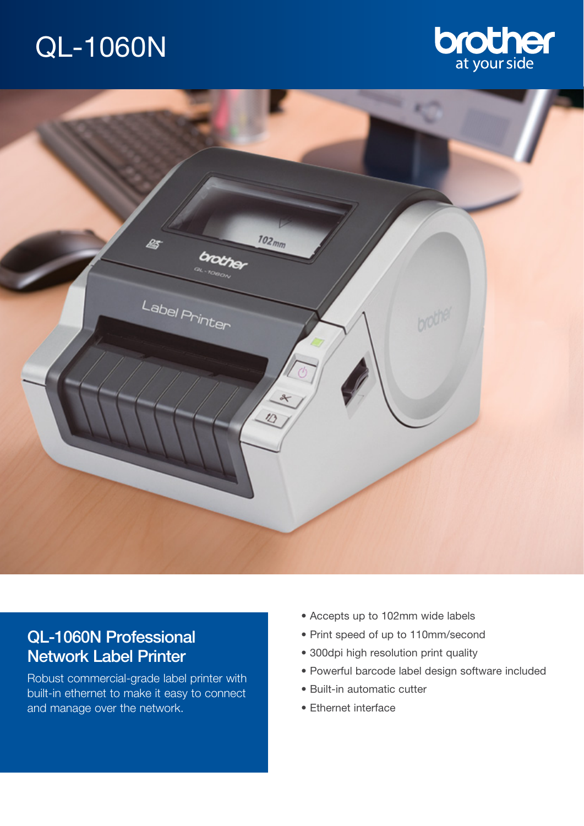# QL-1060N





# QL-1060N Professional Network Label Printer

Robust commercial-grade label printer with built-in ethernet to make it easy to connect and manage over the network.

- Accepts up to 102mm wide labels
- Print speed of up to 110mm/second
- 300dpi high resolution print quality
- Powerful barcode label design software included
- Built-in automatic cutter
- Ethernet interface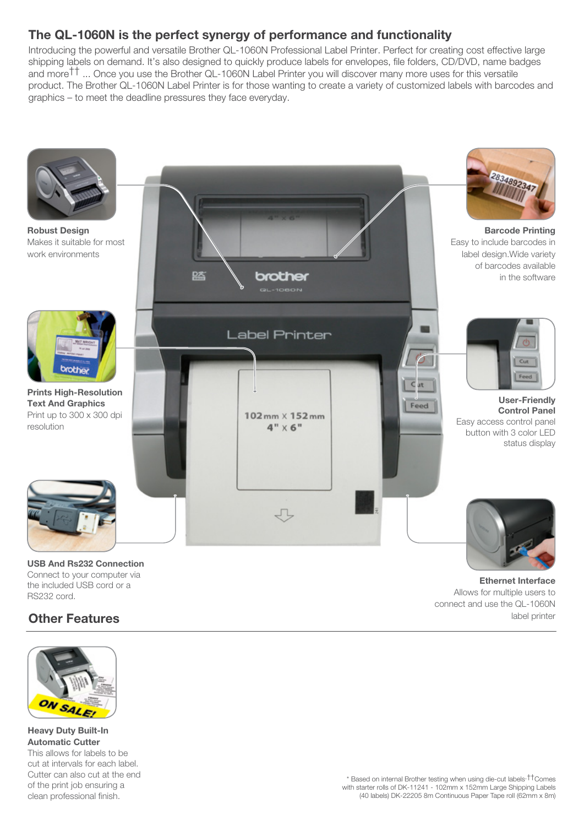## **The QL-1060N is the perfect synergy of performance and functionality**

Introducing the powerful and versatile Brother QL-1060N Professional Label Printer. Perfect for creating cost effective large shipping labels on demand. It's also designed to quickly produce labels for envelopes, file folders, CD/DVD, name badges and more†† ... Once you use the Brother QL-1060N Label Printer you will discover many more uses for this versatile product. The Brother QL-1060N Label Printer is for those wanting to create a variety of customized labels with barcodes and graphics – to meet the deadline pressures they face everyday.



Connect to your computer via the included USB cord or a RS232 cord.

## **Other Features**



**Heavy Duty Built-In Automatic Cutter** This allows for labels to be cut at intervals for each label. Cutter can also cut at the end of the print job ensuring a clean professional finish.

\* Based on internal Brother testing when using die-cut labels.††Comes with starter rolls of DK-11241 - 102mm x 152mm Large Shipping Labels (40 labels) DK-22205 8m Continuous Paper Tape roll (62mm x 8m)

Allows for multiple users to connect and use the QL-1060N

label printer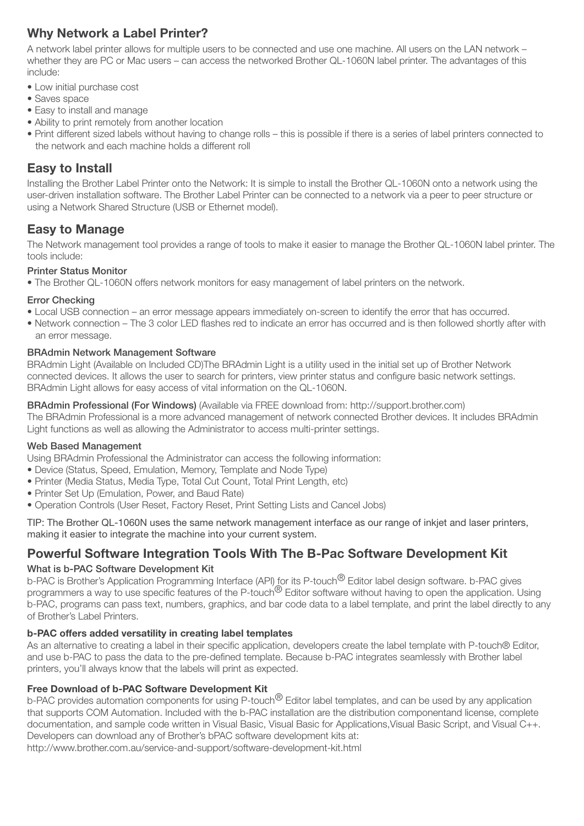## **Why Network a Label Printer?**

A network label printer allows for multiple users to be connected and use one machine. All users on the LAN network – whether they are PC or Mac users – can access the networked Brother QL-1060N label printer. The advantages of this include:

- Low initial purchase cost
- Saves space
- Easy to install and manage
- Ability to print remotely from another location
- Print different sized labels without having to change rolls this is possible if there is a series of label printers connected to the network and each machine holds a different roll

## **Easy to Install**

Installing the Brother Label Printer onto the Network: It is simple to install the Brother QL-1060N onto a network using the user-driven installation software. The Brother Label Printer can be connected to a network via a peer to peer structure or using a Network Shared Structure (USB or Ethernet model).

## **Easy to Manage**

The Network management tool provides a range of tools to make it easier to manage the Brother QL-1060N label printer. The tools include:

#### Printer Status Monitor

• The Brother QL-1060N offers network monitors for easy management of label printers on the network.

### Error Checking

- Local USB connection an error message appears immediately on-screen to identify the error that has occurred.
- Network connection The 3 color LED flashes red to indicate an error has occurred and is then followed shortly after with an error message.

### BRAdmin Network Management Software

BRAdmin Light (Available on Included CD)The BRAdmin Light is a utility used in the initial set up of Brother Network connected devices. It allows the user to search for printers, view printer status and configure basic network settings. BRAdmin Light allows for easy access of vital information on the QL-1060N.

## BRAdmin Professional (For Windows) (Available via FREE download from: http://support.brother.com)

The BRAdmin Professional is a more advanced management of network connected Brother devices. It includes BRAdmin Light functions as well as allowing the Administrator to access multi-printer settings.

### Web Based Management

Using BRAdmin Professional the Administrator can access the following information:

- Device (Status, Speed, Emulation, Memory, Template and Node Type)
- Printer (Media Status, Media Type, Total Cut Count, Total Print Length, etc)
- Printer Set Up (Emulation, Power, and Baud Rate)
- Operation Controls (User Reset, Factory Reset, Print Setting Lists and Cancel Jobs)

TIP: The Brother QL-1060N uses the same network management interface as our range of inkjet and laser printers, making it easier to integrate the machine into your current system.

## **Powerful Software Integration Tools With The B-Pac Software Development Kit**

### What is b-PAC Software Development Kit

b-PAC is Brother's Application Programming Interface (API) for its P-touch<sup>®</sup> Editor label design software, b-PAC gives programmers a way to use specific features of the P-touch<sup>®</sup> Editor software without having to open the application. Using b-PAC, programs can pass text, numbers, graphics, and bar code data to a label template, and print the label directly to any of Brother's Label Printers.

### b-PAC offers added versatility in creating label templates

As an alternative to creating a label in their specific application, developers create the label template with P-touch® Editor, and use b-PAC to pass the data to the pre-defined template. Because b-PAC integrates seamlessly with Brother label printers, you'll always know that the labels will print as expected.

### Free Download of b-PAC Software Development Kit

b-PAC provides automation components for using P-touch<sup>®</sup> Editor label templates, and can be used by any application that supports COM Automation. Included with the b-PAC installation are the distribution componentand license, complete documentation, and sample code written in Visual Basic, Visual Basic for Applications,Visual Basic Script, and Visual C++. Developers can download any of Brother's bPAC software development kits at:

http://www.brother.com.au/service-and-support/software-development-kit.html